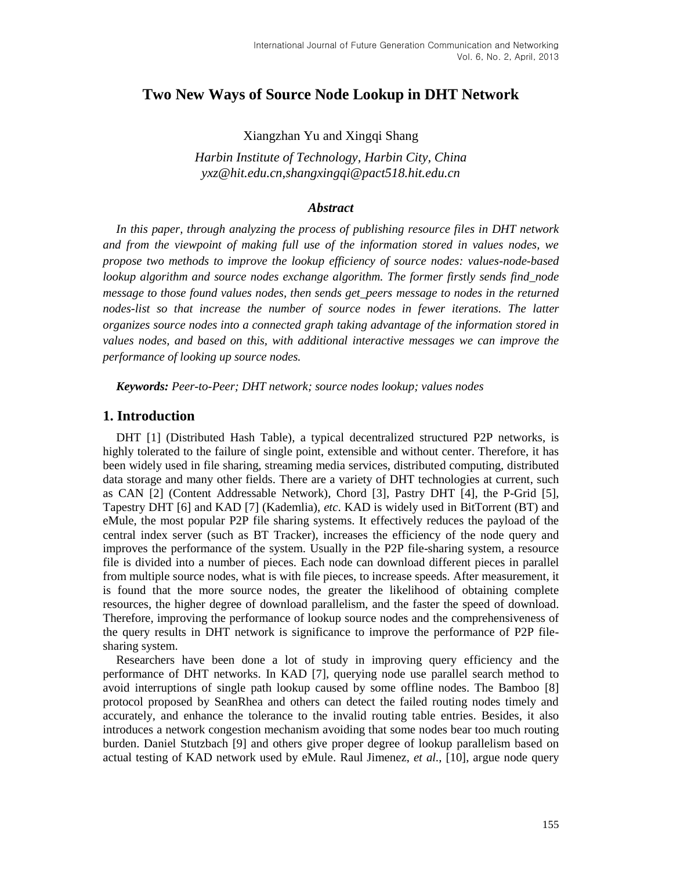# **Two New Ways of Source Node Lookup in DHT Network**

Xiangzhan Yu and Xingqi Shang

*Harbin Institute of Technology, Harbin City, China yxz@hit.edu.cn,shangxingqi@pact518.hit.edu.cn*

### *Abstract*

*In this paper, through analyzing the process of publishing resource files in DHT network and from the viewpoint of making full use of the information stored in values nodes, we propose two methods to improve the lookup efficiency of source nodes: values-node-based lookup algorithm and source nodes exchange algorithm. The former firstly sends find\_node message to those found values nodes, then sends get\_peers message to nodes in the returned*  nodes-list so that increase the number of source nodes in fewer iterations. The latter *organizes source nodes into a connected graph taking advantage of the information stored in values nodes, and based on this, with additional interactive messages we can improve the performance of looking up source nodes.*

*Keywords: Peer-to-Peer; DHT network; source nodes lookup; values nodes*

### **1. Introduction**

DHT [1] (Distributed Hash Table), a typical decentralized structured P2P networks, is highly tolerated to the failure of single point, extensible and without center. Therefore, it has been widely used in file sharing, streaming media services, distributed computing, distributed data storage and many other fields. There are a variety of DHT technologies at current, such as CAN [2] (Content Addressable Network), Chord [3], Pastry DHT [4], the P-Grid [5], Tapestry DHT [6] and KAD [7] (Kademlia), *etc*. KAD is widely used in BitTorrent (BT) and eMule, the most popular P2P file sharing systems. It effectively reduces the payload of the central index server (such as BT Tracker), increases the efficiency of the node query and improves the performance of the system. Usually in the P2P file-sharing system, a resource file is divided into a number of pieces. Each node can download different pieces in parallel from multiple source nodes, what is with file pieces, to increase speeds. After measurement, it is found that the more source nodes, the greater the likelihood of obtaining complete resources, the higher degree of download parallelism, and the faster the speed of download. Therefore, improving the performance of lookup source nodes and the comprehensiveness of the query results in DHT network is significance to improve the performance of P2P filesharing system.

Researchers have been done a lot of study in improving query efficiency and the performance of DHT networks. In KAD [7], querying node use parallel search method to avoid interruptions of single path lookup caused by some offline nodes. The Bamboo [8] protocol proposed by SeanRhea and others can detect the failed routing nodes timely and accurately, and enhance the tolerance to the invalid routing table entries. Besides, it also introduces a network congestion mechanism avoiding that some nodes bear too much routing burden. Daniel Stutzbach [9] and others give proper degree of lookup parallelism based on actual testing of KAD network used by eMule. Raul Jimenez, *et al.*, [10], argue node query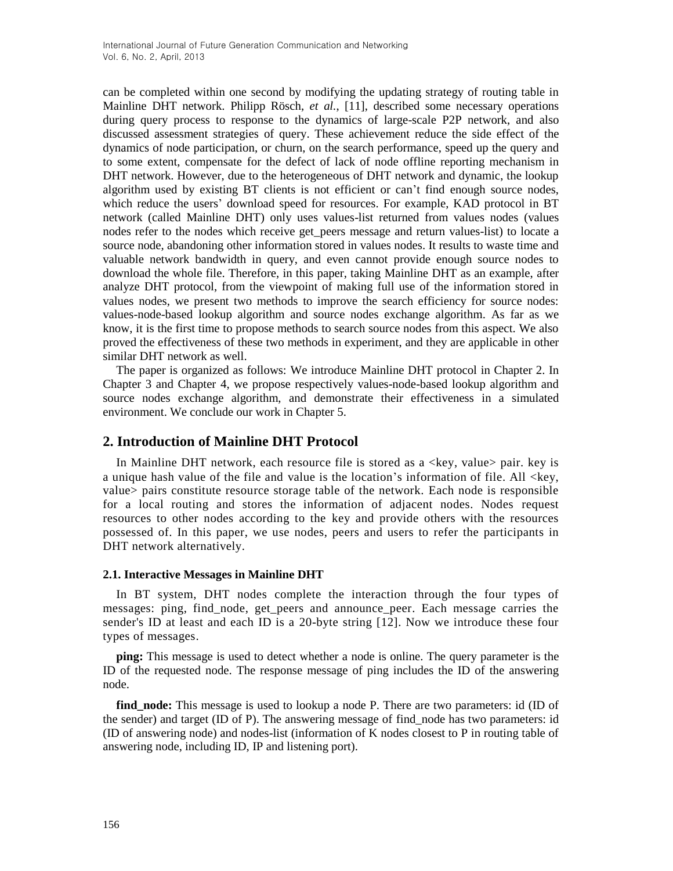can be completed within one second by modifying the updating strategy of routing table in Mainline DHT network. Philipp Rösch, *et al.*, [11], described some necessary operations during query process to response to the dynamics of large-scale P2P network, and also discussed assessment strategies of query. These achievement reduce the side effect of the dynamics of node participation, or churn, on the search performance, speed up the query and to some extent, compensate for the defect of lack of node offline reporting mechanism in DHT network. However, due to the heterogeneous of DHT network and dynamic, the lookup algorithm used by existing BT clients is not efficient or can't find enough source nodes, which reduce the users' download speed for resources. For example, KAD protocol in BT network (called Mainline DHT) only uses values-list returned from values nodes (values nodes refer to the nodes which receive get peers message and return values-list) to locate a source node, abandoning other information stored in values nodes. It results to waste time and valuable network bandwidth in query, and even cannot provide enough source nodes to download the whole file. Therefore, in this paper, taking Mainline DHT as an example, after analyze DHT protocol, from the viewpoint of making full use of the information stored in values nodes, we present two methods to improve the search efficiency for source nodes: values-node-based lookup algorithm and source nodes exchange algorithm. As far as we know, it is the first time to propose methods to search source nodes from this aspect. We also proved the effectiveness of these two methods in experiment, and they are applicable in other similar DHT network as well.

The paper is organized as follows: We introduce Mainline DHT protocol in Chapter 2. In Chapter 3 and Chapter 4, we propose respectively values-node-based lookup algorithm and source nodes exchange algorithm, and demonstrate their effectiveness in a simulated environment. We conclude our work in Chapter 5.

# **2. Introduction of Mainline DHT Protocol**

In Mainline DHT network, each resource file is stored as a  $\langle \text{key}, \text{value} \rangle$  pair. key is a unique hash value of the file and value is the location's information of file. All  $\langle$ key, value> pairs constitute resource storage table of the network. Each node is responsible for a local routing and stores the information of adjacent nodes. Nodes request resources to other nodes according to the key and provide others with the resources possessed of. In this paper, we use nodes, peers and users to refer the participants in DHT network alternatively.

#### **2.1. Interactive Messages in Mainline DHT**

In BT system, DHT nodes complete the interaction through the four types of messages: ping, find\_node, get\_peers and announce\_peer. Each message carries the sender's ID at least and each ID is a 20-byte string [12]. Now we introduce these four types of messages.

**ping:** This message is used to detect whether a node is online. The query parameter is the ID of the requested node. The response message of ping includes the ID of the answering node.

**find\_node:** This message is used to lookup a node P. There are two parameters: id (ID of the sender) and target (ID of P). The answering message of find\_node has two parameters: id (ID of answering node) and nodes-list (information of K nodes closest to P in routing table of answering node, including ID, IP and listening port).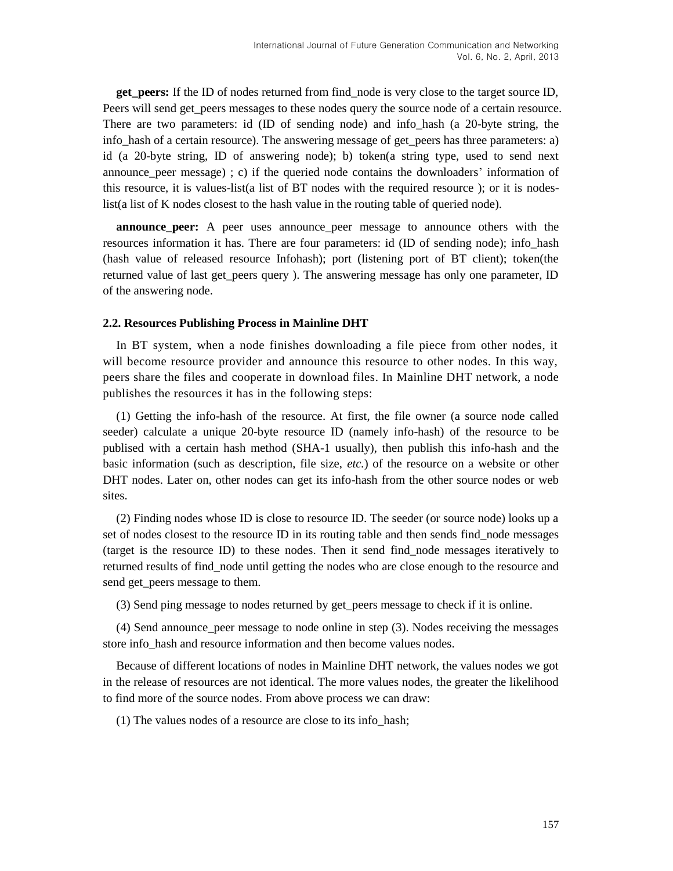**get** peers: If the ID of nodes returned from find node is very close to the target source ID, Peers will send get\_peers messages to these nodes query the source node of a certain resource. There are two parameters: id (ID of sending node) and info\_hash (a 20-byte string, the info hash of a certain resource). The answering message of get peers has three parameters: a) id (a 20-byte string, ID of answering node); b) token(a string type, used to send next announce\_peer message) ; c) if the queried node contains the downloaders' information of this resource, it is values-list(a list of BT nodes with the required resource ); or it is nodeslist(a list of K nodes closest to the hash value in the routing table of queried node).

**announce peer:** A peer uses announce peer message to announce others with the resources information it has. There are four parameters: id (ID of sending node); info\_hash (hash value of released resource Infohash); port (listening port of BT client); token(the returned value of last get peers query ). The answering message has only one parameter, ID of the answering node.

#### **2.2. Resources Publishing Process in Mainline DHT**

In BT system, when a node finishes downloading a file piece from other nodes, it will become resource provider and announce this resource to other nodes. In this way, peers share the files and cooperate in download files. In Mainline DHT network, a node publishes the resources it has in the following steps:

(1) Getting the info-hash of the resource. At first, the file owner (a source node called seeder) calculate a unique 20-byte resource ID (namely info-hash) of the resource to be publised with a certain hash method (SHA-1 usually), then publish this info-hash and the basic information (such as description, file size, *etc.*) of the resource on a website or other DHT nodes. Later on, other nodes can get its info-hash from the other source nodes or web sites.

(2) Finding nodes whose ID is close to resource ID. The seeder (or source node) looks up a set of nodes closest to the resource ID in its routing table and then sends find\_node messages (target is the resource ID) to these nodes. Then it send find\_node messages iteratively to returned results of find\_node until getting the nodes who are close enough to the resource and send get peers message to them.

(3) Send ping message to nodes returned by get\_peers message to check if it is online.

(4) Send announce\_peer message to node online in step (3). Nodes receiving the messages store info\_hash and resource information and then become values nodes.

Because of different locations of nodes in Mainline DHT network, the values nodes we got in the release of resources are not identical. The more values nodes, the greater the likelihood to find more of the source nodes. From above process we can draw:

(1) The values nodes of a resource are close to its info\_hash;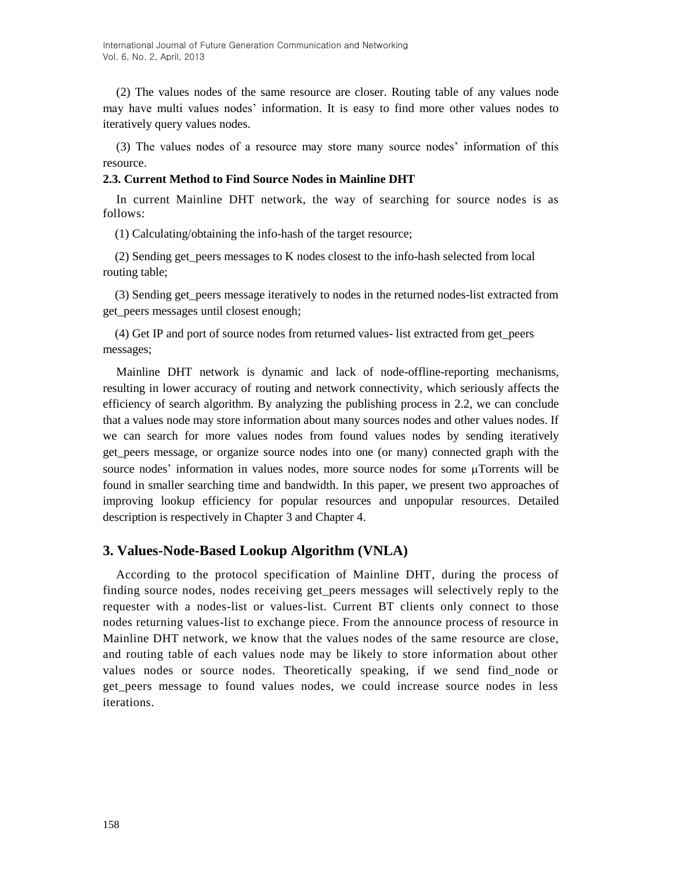(2) The values nodes of the same resource are closer. Routing table of any values node may have multi values nodes' information. It is easy to find more other values nodes to iteratively query values nodes.

(3) The values nodes of a resource may store many source nodes' information of this resource.

#### **2.3. Current Method to Find Source Nodes in Mainline DHT**

In current Mainline DHT network, the way of searching for source nodes is as follows:

(1) Calculating/obtaining the info-hash of the target resource;

(2) Sending get\_peers messages to K nodes closest to the info-hash selected from local routing table;

(3) Sending get\_peers message iteratively to nodes in the returned nodes-list extracted from get peers messages until closest enough;

(4) Get IP and port of source nodes from returned values- list extracted from get\_peers messages;

Mainline DHT network is dynamic and lack of node-offline-reporting mechanisms, resulting in lower accuracy of routing and network connectivity, which seriously affects the efficiency of search algorithm. By analyzing the publishing process in 2.2, we can conclude that a values node may store information about many sources nodes and other values nodes. If we can search for more values nodes from found values nodes by sending iteratively get\_peers message, or organize source nodes into one (or many) connected graph with the source nodes' information in values nodes, more source nodes for some µTorrents will be found in smaller searching time and bandwidth. In this paper, we present two approaches of improving lookup efficiency for popular resources and unpopular resources. Detailed description is respectively in Chapter 3 and Chapter 4.

## **3. Values-Node-Based Lookup Algorithm (VNLA)**

According to the protocol specification of Mainline DHT, during the process of finding source nodes, nodes receiving get\_peers messages will selectively reply to the requester with a nodes-list or values-list. Current BT clients only connect to those nodes returning values-list to exchange piece. From the announce process of resource in Mainline DHT network, we know that the values nodes of the same resource are close, and routing table of each values node may be likely to store information about other values nodes or source nodes. Theoretically speaking, if we send find\_node or get\_peers message to found values nodes, we could increase source nodes in less iterations.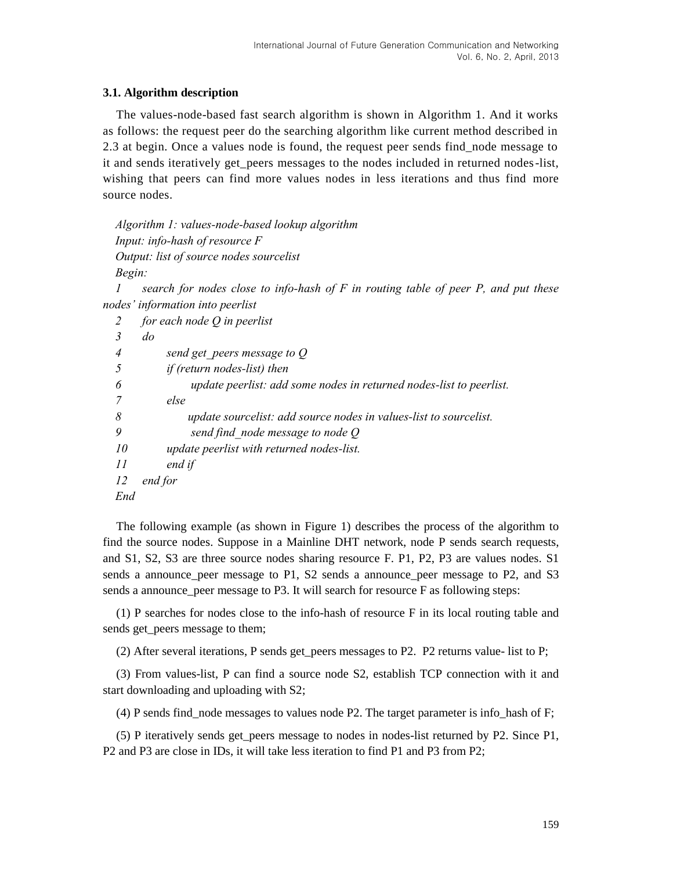## **3.1. Algorithm description**

The values-node-based fast search algorithm is shown in Algorithm 1. And it works as follows: the request peer do the searching algorithm like current method described in 2.3 at begin. Once a values node is found, the request peer sends find\_node message to it and sends iteratively get\_peers messages to the nodes included in returned nodes-list, wishing that peers can find more values nodes in less iterations and thus find more source nodes.

*Algorithm 1: values-node-based lookup algorithm Input: info-hash of resource F Output: list of source nodes sourcelist Begin: 1 search for nodes close to info-hash of F in routing table of peer P, and put these nodes' information into peerlist 2 for each node Q in peerlist*

| ∼   | for cach none of the pechange                                       |
|-----|---------------------------------------------------------------------|
| 3   | do                                                                  |
| 4   | send get peers message to $Q$                                       |
| 5   | if (return nodes-list) then                                         |
| 6   | update peerlist: add some nodes in returned nodes-list to peerlist. |
| 7   | else                                                                |
| 8   | update sourcelist: add source nodes in values-list to sourcelist.   |
| 9   | send find node message to node $Q$                                  |
| 10  | update peerlist with returned nodes-list.                           |
| 11  | end if                                                              |
| 12  | end for                                                             |
| End |                                                                     |

The following example (as shown in Figure 1) describes the process of the algorithm to find the source nodes. Suppose in a Mainline DHT network, node P sends search requests, and S1, S2, S3 are three source nodes sharing resource F. P1, P2, P3 are values nodes. S1 sends a announce\_peer message to P1, S2 sends a announce\_peer message to P2, and S3 sends a announce\_peer message to P3. It will search for resource F as following steps:

(1) P searches for nodes close to the info-hash of resource F in its local routing table and sends get\_peers message to them;

(2) After several iterations, P sends get\_peers messages to P2. P2 returns value- list to P;

(3) From values-list, P can find a source node S2, establish TCP connection with it and start downloading and uploading with S2;

(4) P sends find\_node messages to values node P2. The target parameter is info\_hash of F;

(5) P iteratively sends get\_peers message to nodes in nodes-list returned by P2. Since P1, P2 and P3 are close in IDs, it will take less iteration to find P1 and P3 from P2;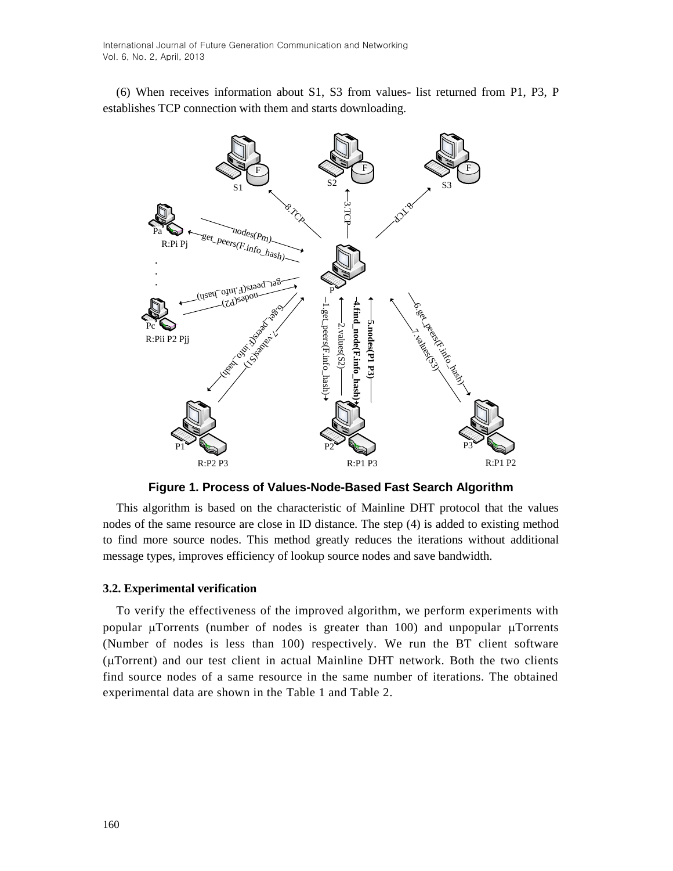(6) When receives information about S1, S3 from values- list returned from P1, P3, P establishes TCP connection with them and starts downloading.



**Figure 1. Process of Values-Node-Based Fast Search Algorithm**

This algorithm is based on the characteristic of Mainline DHT protocol that the values nodes of the same resource are close in ID distance. The step (4) is added to existing method to find more source nodes. This method greatly reduces the iterations without additional message types, improves efficiency of lookup source nodes and save bandwidth.

### **3.2. Experimental verification**

To verify the effectiveness of the improved algorithm, we perform experiments with popular  $\mu$ Torrents (number of nodes is greater than 100) and unpopular  $\mu$ Torrents (Number of nodes is less than 100) respectively. We run the BT client software  $(\mu$ Torrent) and our test client in actual Mainline DHT network. Both the two clients find source nodes of a same resource in the same number of iterations. The obtained experimental data are shown in the Table 1 and Table 2.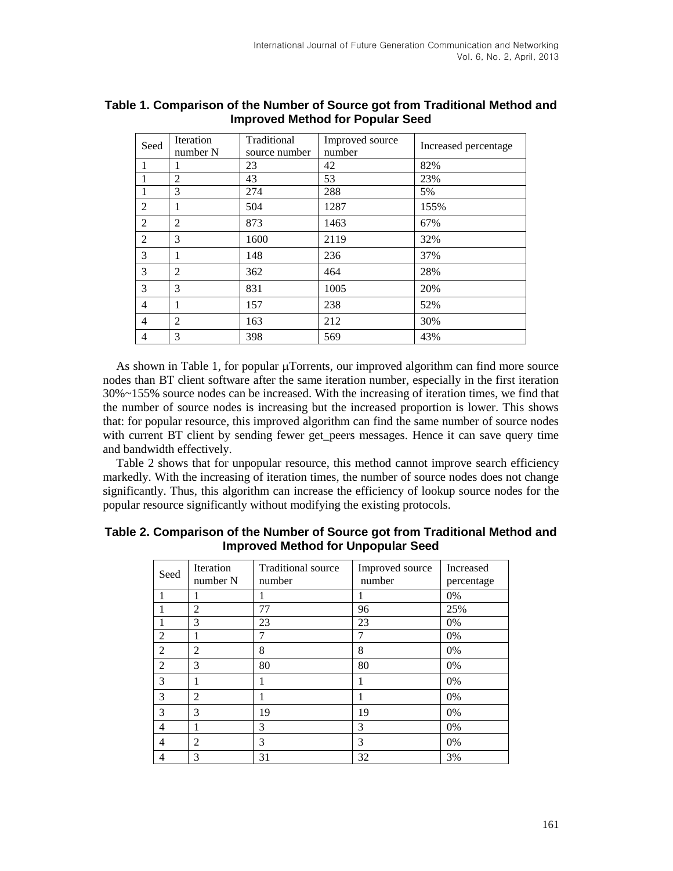| Seed           | Iteration<br>number N | Traditional<br>source number | Improved source<br>number | Increased percentage |
|----------------|-----------------------|------------------------------|---------------------------|----------------------|
| 1              | I                     | 23                           | 42                        | 82%                  |
|                | $\overline{2}$        | 43                           | 53                        | 23%                  |
|                | 3                     | 274                          | 288                       | 5%                   |
| 2              | 1                     | 504                          | 1287                      | 155%                 |
| 2              | 2                     | 873                          | 1463                      | 67%                  |
| $\overline{2}$ | 3                     | 1600                         | 2119                      | 32%                  |
| 3              | 1                     | 148                          | 236                       | 37%                  |
| 3              | 2                     | 362                          | 464                       | 28%                  |
| 3              | 3                     | 831                          | 1005                      | 20%                  |
| 4              | 1                     | 157                          | 238                       | 52%                  |
| 4              | $\overline{c}$        | 163                          | 212                       | 30%                  |
| 4              | 3                     | 398                          | 569                       | 43%                  |

### **Table 1. Comparison of the Number of Source got from Traditional Method and Improved Method for Popular Seed**

As shown in Table 1, for popular  $\mu$ Torrents, our improved algorithm can find more source nodes than BT client software after the same iteration number, especially in the first iteration 30%~155% source nodes can be increased. With the increasing of iteration times, we find that the number of source nodes is increasing but the increased proportion is lower. This shows that: for popular resource, this improved algorithm can find the same number of source nodes with current BT client by sending fewer get\_peers messages. Hence it can save query time and bandwidth effectively.

Table 2 shows that for unpopular resource, this method cannot improve search efficiency markedly. With the increasing of iteration times, the number of source nodes does not change significantly. Thus, this algorithm can increase the efficiency of lookup source nodes for the popular resource significantly without modifying the existing protocols.

| Table 2. Comparison of the Number of Source got from Traditional Method and |
|-----------------------------------------------------------------------------|
| <b>Improved Method for Unpopular Seed</b>                                   |

| Seed           | Iteration<br>number N | <b>Traditional source</b><br>number | Improved source<br>number | Increased<br>percentage |
|----------------|-----------------------|-------------------------------------|---------------------------|-------------------------|
| 1              |                       |                                     |                           | 0%                      |
| 1              | $\overline{2}$        | 77                                  | 96                        | 25%                     |
|                | 3                     | 23                                  | 23                        | 0%                      |
| 2              |                       | 7                                   | 7                         | 0%                      |
| 2              | $\overline{2}$        | 8                                   | 8                         | 0%                      |
| 2              | 3                     | 80                                  | 80                        | 0%                      |
| 3              | 1                     | 1                                   | 1                         | 0%                      |
| 3              | $\overline{2}$        | 1                                   | 1                         | 0%                      |
| 3              | 3                     | 19                                  | 19                        | 0%                      |
| 4              |                       | 3                                   | 3                         | 0%                      |
| $\overline{4}$ | $\overline{2}$        | 3                                   | 3                         | 0%                      |
| 4              | 3                     | 31                                  | 32                        | 3%                      |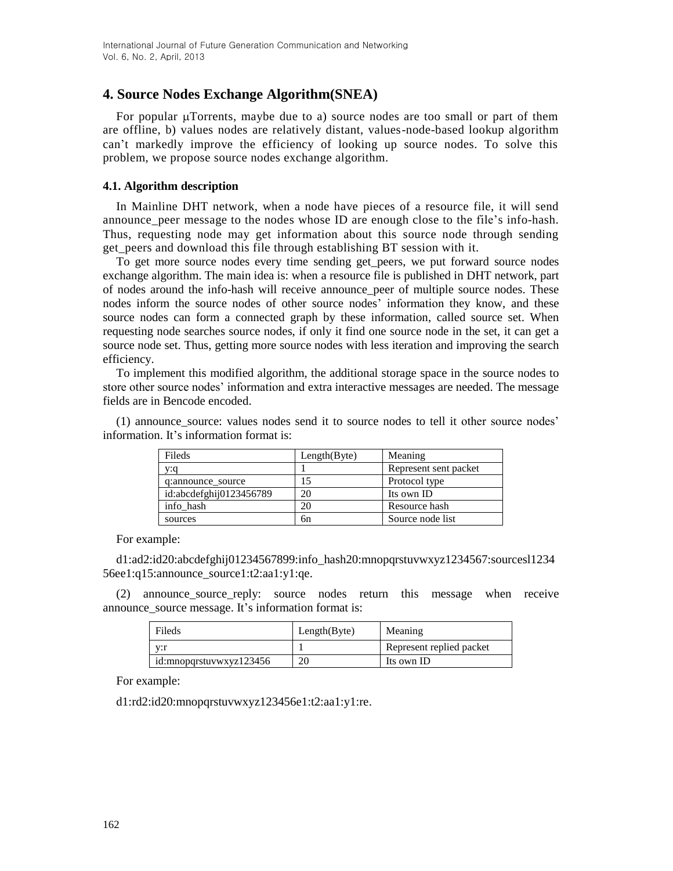# **4. Source Nodes Exchange Algorithm(SNEA)**

For popular  $\mu$ Torrents, maybe due to a) source nodes are too small or part of them are offline, b) values nodes are relatively distant, values-node-based lookup algorithm can't markedly improve the efficiency of looking up source nodes. To solve this problem, we propose source nodes exchange algorithm.

#### **4.1. Algorithm description**

In Mainline DHT network, when a node have pieces of a resource file, it will send announce\_peer message to the nodes whose ID are enough close to the file's info-hash. Thus, requesting node may get information about this source node through sending get\_peers and download this file through establishing BT session with it.

To get more source nodes every time sending get\_peers, we put forward source nodes exchange algorithm. The main idea is: when a resource file is published in DHT network, part of nodes around the info-hash will receive announce peer of multiple source nodes. These nodes inform the source nodes of other source nodes' information they know, and these source nodes can form a connected graph by these information, called source set. When requesting node searches source nodes, if only it find one source node in the set, it can get a source node set. Thus, getting more source nodes with less iteration and improving the search efficiency.

To implement this modified algorithm, the additional storage space in the source nodes to store other source nodes' information and extra interactive messages are needed. The message fields are in Bencode encoded.

(1) announce\_source: values nodes send it to source nodes to tell it other source nodes' information. It's information format is:

| Fileds                  | Length(Byte) | Meaning               |
|-------------------------|--------------|-----------------------|
| y:q                     |              | Represent sent packet |
| q:announce_source       | 15           | Protocol type         |
| id:abcdefghij0123456789 | 20           | Its own ID            |
| info hash               | 20           | Resource hash         |
| sources                 | бn           | Source node list      |

For example:

d1:ad2:id20:abcdefghij01234567899:info\_hash20:mnopqrstuvwxyz1234567:sourcesl1234 56ee1:q15:announce\_source1:t2:aa1:y1:qe.

(2) announce source reply: source nodes return this message when receive announce\_source message. It's information format is:

| Fileds                  | Length(Byte) | Meaning                  |
|-------------------------|--------------|--------------------------|
| v∙r                     |              | Represent replied packet |
| id:mnopqrstuvwxyz123456 | 20           | Its own ID               |

For example:

d1:rd2:id20:mnopqrstuvwxyz123456e1:t2:aa1:y1:re.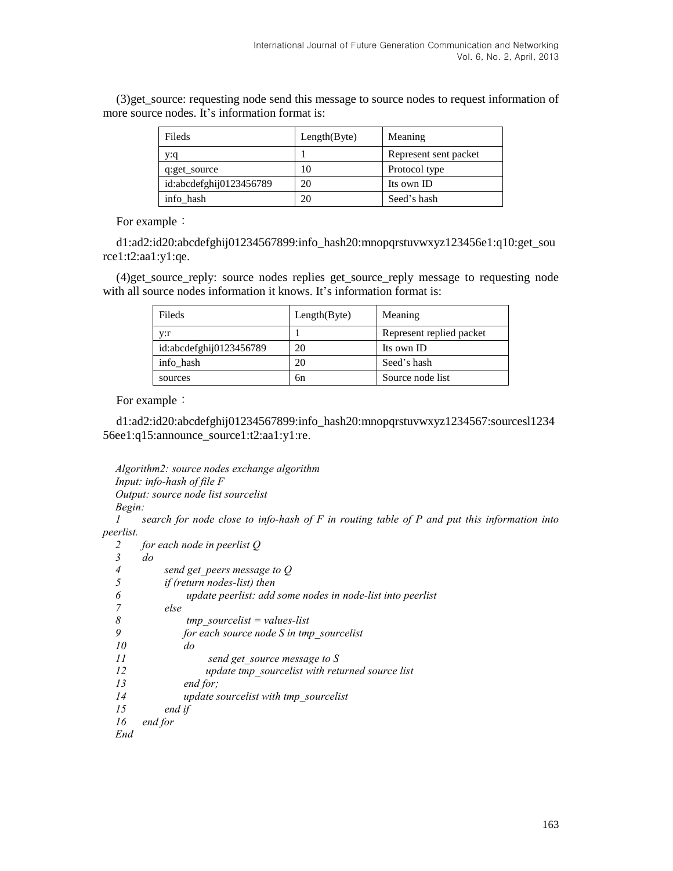| Fileds                  | Length(Byte) | Meaning               |
|-------------------------|--------------|-----------------------|
| y:q                     |              | Represent sent packet |
| q:get_source            | 10           | Protocol type         |
| id:abcdefghij0123456789 | 20           | Its own ID            |
| info hash               | 20           | Seed's hash           |

(3)get\_source: requesting node send this message to source nodes to request information of more source nodes. It's information format is:

For example:

d1:ad2:id20:abcdefghij01234567899:info\_hash20:mnopqrstuvwxyz123456e1:q10:get\_sou rce1:t2:aa1:y1:qe.

(4)get\_source\_reply: source nodes replies get\_source\_reply message to requesting node with all source nodes information it knows. It's information format is:

| Fileds                  | Length(Byte) | Meaning                  |
|-------------------------|--------------|--------------------------|
| y:r                     |              | Represent replied packet |
| id:abcdefghij0123456789 | 20           | Its own ID               |
| info hash               | 20           | Seed's hash              |
| sources                 | 6n           | Source node list         |

For example:

d1:ad2:id20:abcdefghij01234567899:info\_hash20:mnopqrstuvwxyz1234567:sourcesl1234 56ee1:q15:announce\_source1:t2:aa1:y1:re.

*Algorithm2: source nodes exchange algorithm Input: info-hash of file F Output: source node list sourcelist Begin:*

*1 search for node close to info-hash of F in routing table of P and put this information into peerlist.*

| 2   | for each node in peerlist $Q$                              |
|-----|------------------------------------------------------------|
| 3   | do                                                         |
| 4   | send get peers message to $Q$                              |
| 5   | if (return nodes-list) then                                |
| 6   | update peerlist: add some nodes in node-list into peerlist |
|     | else                                                       |
| 8   | $tmp\ sourcelist = values-list$                            |
| 9   | for each source node $S$ in tmp sourcelist                 |
| 10  | do                                                         |
| 11  | send get source message to S                               |
| 12  | update tmp sourcelist with returned source list            |
| 13  | end for;                                                   |
| 14  | update sourcelist with tmp sourcelist                      |
| 15  | end if                                                     |
| 16  | end for                                                    |
| End |                                                            |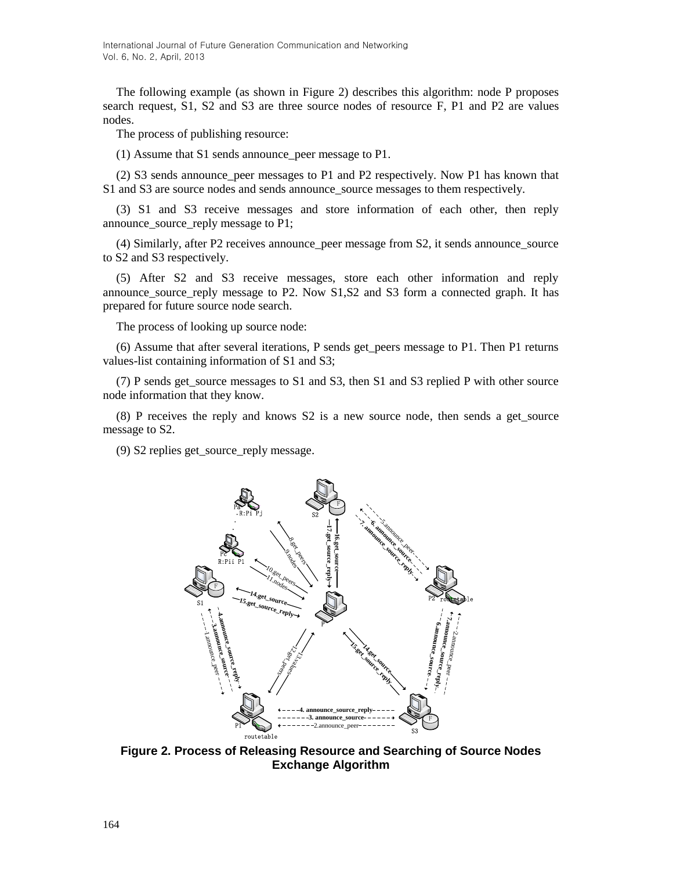The following example (as shown in Figure 2) describes this algorithm: node P proposes search request, S1, S2 and S3 are three source nodes of resource F, P1 and P2 are values nodes.

The process of publishing resource:

(1) Assume that S1 sends announce\_peer message to P1.

(2) S3 sends announce\_peer messages to P1 and P2 respectively. Now P1 has known that S1 and S3 are source nodes and sends announce source messages to them respectively.

(3) S1 and S3 receive messages and store information of each other, then reply announce\_source\_reply message to P1;

(4) Similarly, after P2 receives announce\_peer message from S2, it sends announce\_source to S2 and S3 respectively.

(5) After S2 and S3 receive messages, store each other information and reply announce source reply message to P2. Now S1,S2 and S3 form a connected graph. It has prepared for future source node search.

The process of looking up source node:

(6) Assume that after several iterations, P sends get\_peers message to P1. Then P1 returns values-list containing information of S1 and S3;

(7) P sends get\_source messages to S1 and S3, then S1 and S3 replied P with other source node information that they know.

(8) P receives the reply and knows S2 is a new source node, then sends a get\_source message to S2.

(9) S2 replies get\_source\_reply message.



**Figure 2. Process of Releasing Resource and Searching of Source Nodes Exchange Algorithm**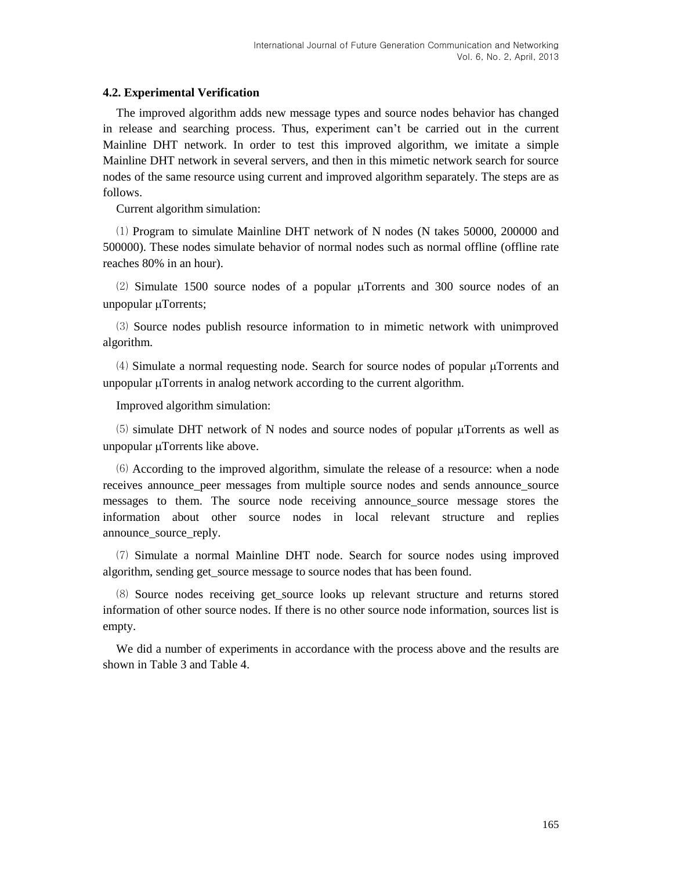### **4.2. Experimental Verification**

The improved algorithm adds new message types and source nodes behavior has changed in release and searching process. Thus, experiment can't be carried out in the current Mainline DHT network. In order to test this improved algorithm, we imitate a simple Mainline DHT network in several servers, and then in this mimetic network search for source nodes of the same resource using current and improved algorithm separately. The steps are as follows.

Current algorithm simulation:

⑴ Program to simulate Mainline DHT network of N nodes (N takes 50000, 200000 and 500000). These nodes simulate behavior of normal nodes such as normal offline (offline rate reaches 80% in an hour).

(2) Simulate 1500 source nodes of a popular  $\mu$ Torrents and 300 source nodes of an unpopular µTorrents;

⑶ Source nodes publish resource information to in mimetic network with unimproved algorithm.

 $(4)$  Simulate a normal requesting node. Search for source nodes of popular  $\mu$ Torrents and unpopular µTorrents in analog network according to the current algorithm.

Improved algorithm simulation:

 $(5)$  simulate DHT network of N nodes and source nodes of popular  $\mu$ Torrents as well as unpopular  $\mu$ Torrents like above.

⑹ According to the improved algorithm, simulate the release of a resource: when a node receives announce peer messages from multiple source nodes and sends announce source messages to them. The source node receiving announce\_source message stores the information about other source nodes in local relevant structure and replies announce source reply.

⑺ Simulate a normal Mainline DHT node. Search for source nodes using improved algorithm, sending get\_source message to source nodes that has been found.

⑻ Source nodes receiving get\_source looks up relevant structure and returns stored information of other source nodes. If there is no other source node information, sources list is empty.

We did a number of experiments in accordance with the process above and the results are shown in Table 3 and Table 4.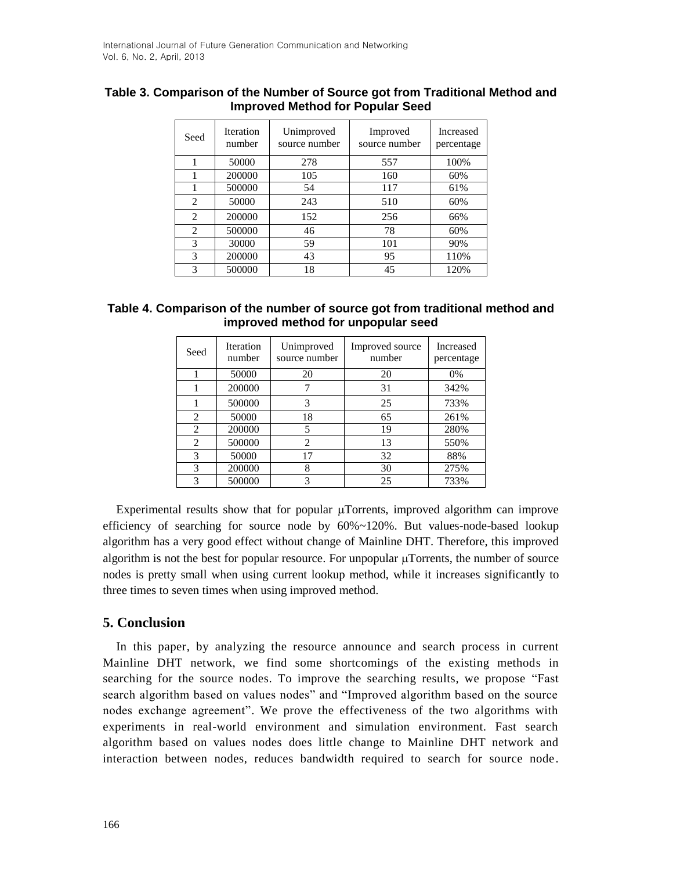| Seed           | <b>Iteration</b><br>number | Unimproved<br>source number | Improved<br>source number | <b>Increased</b><br>percentage |
|----------------|----------------------------|-----------------------------|---------------------------|--------------------------------|
| 1              | 50000                      | 278                         | 557                       | 100%                           |
|                | 200000                     | 105                         | 160                       | 60%                            |
|                | 500000                     | 54                          | 117                       | 61%                            |
| 2              | 50000                      | 243                         | 510                       | 60%                            |
| $\overline{2}$ | 200000                     | 152                         | 256                       | 66%                            |
| 2              | 500000                     | 46                          | 78                        | 60%                            |
| 3              | 30000                      | 59                          | 101                       | 90%                            |
| 3              | 200000                     | 43                          | 95                        | 110%                           |
| 3              | 500000                     | 18                          | 45                        | 120%                           |

# **Table 3. Comparison of the Number of Source got from Traditional Method and Improved Method for Popular Seed**

| Table 4. Comparison of the number of source got from traditional method and |
|-----------------------------------------------------------------------------|
| improved method for unpopular seed                                          |

| Seed           | <b>Iteration</b><br>number | Unimproved<br>source number | Improved source<br>number | Increased<br>percentage |
|----------------|----------------------------|-----------------------------|---------------------------|-------------------------|
|                | 50000                      | 20                          | 20                        | 0%                      |
|                | 200000                     | 7                           | 31                        | 342%                    |
|                | 500000                     | 3                           | 25                        | 733%                    |
| $\overline{c}$ | 50000                      | 18                          | 65                        | 261%                    |
| $\overline{c}$ | 200000                     | 5                           | 19                        | 280%                    |
| 2              | 500000                     | $\mathcal{D}_{\mathcal{L}}$ | 13                        | 550%                    |
| 3              | 50000                      | 17                          | 32                        | 88%                     |
| 3              | 200000                     | 8                           | 30                        | 275%                    |
| 3              | 500000                     | 3                           | 25                        | 733%                    |

Experimental results show that for popular µTorrents, improved algorithm can improve efficiency of searching for source node by 60%~120%. But values-node-based lookup algorithm has a very good effect without change of Mainline DHT. Therefore, this improved algorithm is not the best for popular resource. For unpopular  $\mu$ Torrents, the number of source nodes is pretty small when using current lookup method, while it increases significantly to three times to seven times when using improved method.

# **5. Conclusion**

In this paper, by analyzing the resource announce and search process in current Mainline DHT network, we find some shortcomings of the existing methods in searching for the source nodes. To improve the searching results, we propose "Fast search algorithm based on values nodes" and "Improved algorithm based on the source nodes exchange agreement". We prove the effectiveness of the two algorithms with experiments in real-world environment and simulation environment. Fast search algorithm based on values nodes does little change to Mainline DHT network and interaction between nodes, reduces bandwidth required to search for source node.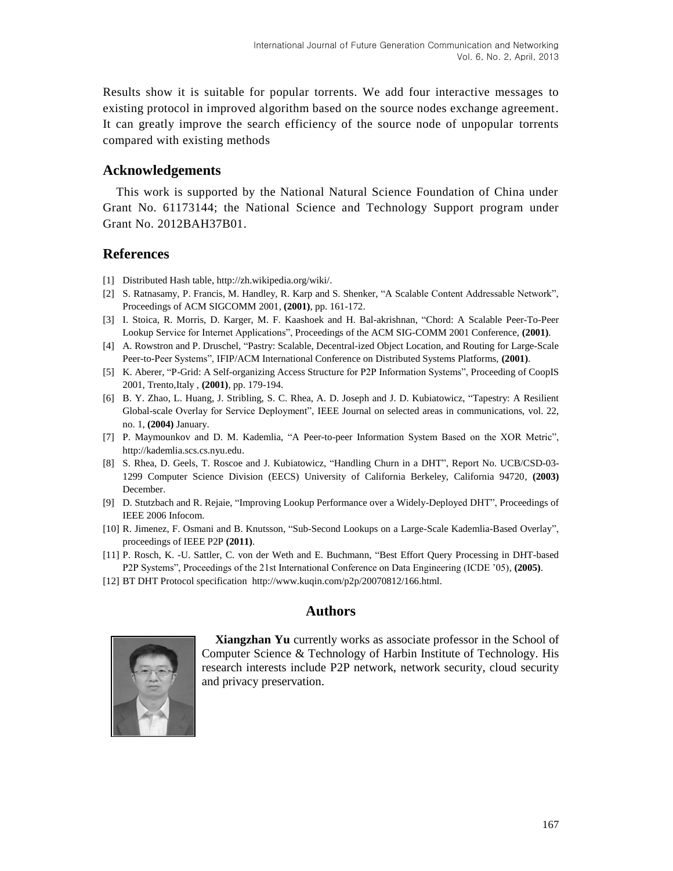Results show it is suitable for popular torrents. We add four interactive messages to existing protocol in improved algorithm based on the source nodes exchange agreement. It can greatly improve the search efficiency of the source node of unpopular torrents compared with existing methods

## **Acknowledgements**

This work is supported by the National Natural Science Foundation of China under Grant No. 61173144; the National Science and Technology Support program under Grant No. 2012BAH37B01.

## **References**

- [1] Distributed Hash table, [http://zh.wikipedia.org/wiki/.](http://zh.wikipedia.org/wiki/)
- [2] S. Ratnasamy, P. Francis, M. Handley, R. Karp and S. Shenker, "A Scalable Content Addressable Network", Proceedings of ACM SIGCOMM 2001, **(2001)**, pp. 161-172.
- [3] I. Stoica, R. Morris, D. Karger, M. F. Kaashoek and H. Bal-akrishnan, "Chord: A Scalable Peer-To-Peer Lookup Service for Internet Applications", Proceedings of the ACM SIG-COMM 2001 Conference, **(2001)**.
- [4] A. Rowstron and P. Druschel, "Pastry: Scalable, Decentral-ized Object Location, and Routing for Large-Scale Peer-to-Peer Systems", IFIP/ACM International Conference on Distributed Systems Platforms, **(2001)**.
- [5] K. Aberer, "P-Grid: A Self-organizing Access Structure for P2P Information Systems", Proceeding of CoopIS 2001, Trento,Italy , **(2001)**, pp. 179-194.
- [6] B. Y. Zhao, L. Huang, J. Stribling, S. C. Rhea, A. D. Joseph and J. D. Kubiatowicz, "Tapestry: A Resilient Global-scale Overlay for Service Deployment", IEEE Journal on selected areas in communications, vol. 22, no. 1, **(2004)** January.
- [7] P. Maymounkov and D. M. Kademlia, "A Peer-to-peer Information System Based on the XOR Metric", [http://kademlia.scs.cs.nyu.edu.](http://kademlia.scs.cs.nyu.edu/)
- [8] S. Rhea, D. Geels, T. Roscoe and J. Kubiatowicz, "Handling Churn in a DHT", Report No. UCB/CSD-03- 1299 Computer Science Division (EECS) University of California Berkeley, California 94720, **(2003)** December.
- [9] D. Stutzbach and R. Rejaie, "Improving Lookup Performance over a Widely-Deployed DHT", Proceedings of IEEE 2006 Infocom.
- [10] R. Jimenez, F. Osmani and B. Knutsson, "Sub-Second Lookups on a Large-Scale Kademlia-Based Overlay", proceedings of IEEE P2P **(2011)**.
- [11] P. Rosch, K. -U. Sattler, C. von der Weth and E. Buchmann, "Best Effort Query Processing in DHT-based P2P Systems", Proceedings of the 21st International Conference on Data Engineering (ICDE '05), **(2005)**.
- [12] BT DHT Protocol [specification](http://blog.csdn.net/jiayanhui2877/article/details/6763977) [http://www.kuqin.com/p2p/20070812/166.html.](http://www.kuqin.com/p2p/20070812/166.html)

# **Authors**



**Xiangzhan Yu** currently works as associate professor in the School of Computer Science & Technology of Harbin Institute of Technology. His research interests include P2P network, network security, cloud security and [privacy](app:ds:privacy) preservation.